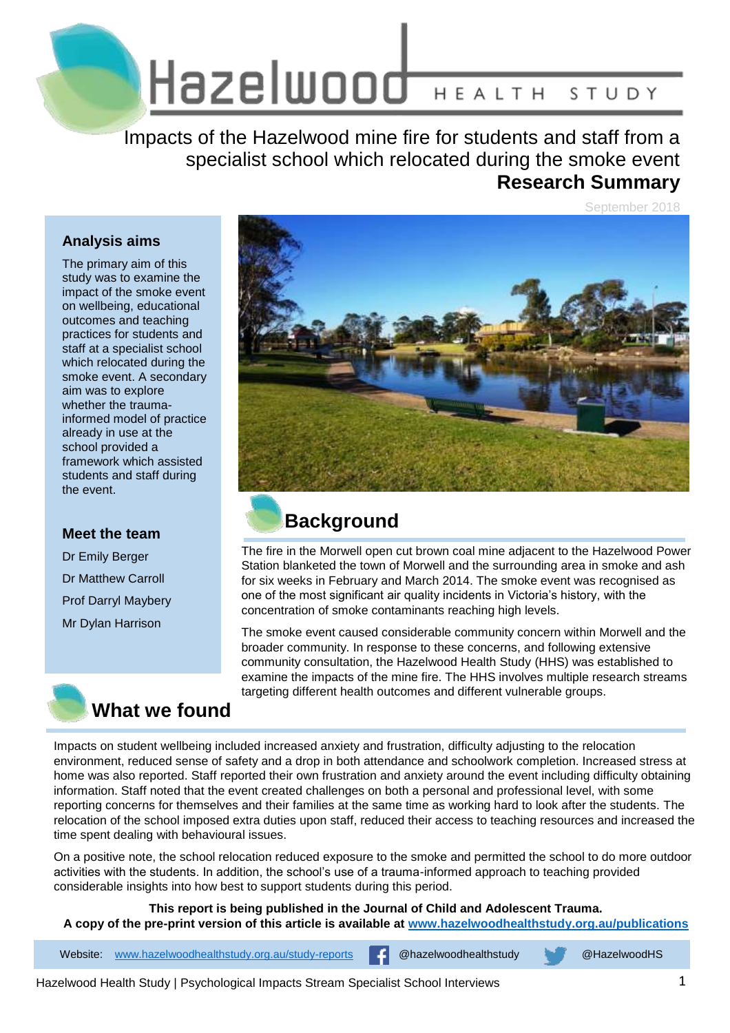Hazelwood HEALTH STUDY

Impacts of the Hazelwood mine fire for students and staff from a specialist school which relocated during the smoke event **Research Summary**

September 2018

### **Analysis aims**

The primary aim of this study was to examine the impact of the smoke event on wellbeing, educational outcomes and teaching practices for students and staff at a specialist school which relocated during the smoke event. A secondary aim was to explore whether the traumainformed model of practice already in use at the school provided a framework which assisted students and staff during the event.

#### **Meet the team**

Dr Emily Berger Dr Matthew Carroll Prof Darryl Maybery Mr Dylan Harrison





## **Background**

The fire in the Morwell open cut brown coal mine adjacent to the Hazelwood Power Station blanketed the town of Morwell and the surrounding area in smoke and ash for six weeks in February and March 2014. The smoke event was recognised as one of the most significant air quality incidents in Victoria's history, with the concentration of smoke contaminants reaching high levels.

The smoke event caused considerable community concern within Morwell and the broader community. In response to these concerns, and following extensive community consultation, the Hazelwood Health Study (HHS) was established to examine the impacts of the mine fire. The HHS involves multiple research streams targeting different health outcomes and different vulnerable groups.

Impacts on student wellbeing included increased anxiety and frustration, difficulty adjusting to the relocation environment, reduced sense of safety and a drop in both attendance and schoolwork completion. Increased stress at home was also reported. Staff reported their own frustration and anxiety around the event including difficulty obtaining information. Staff noted that the event created challenges on both a personal and professional level, with some reporting concerns for themselves and their families at the same time as working hard to look after the students. The relocation of the school imposed extra duties upon staff, reduced their access to teaching resources and increased the time spent dealing with behavioural issues.

On a positive note, the school relocation reduced exposure to the smoke and permitted the school to do more outdoor activities with the students. In addition, the school's use of a trauma-informed approach to teaching provided considerable insights into how best to support students during this period.

**This report is being published in the Journal of Child and Adolescent Trauma. A copy of the pre-print version of this article is available at [www.hazelwoodhealthstudy.org.au/publications](http://www.hazelwoodhealthstudy.org.au/publications)**

Website: [www.hazelwoodhealthstudy.org.au/study-reports](http://www.hazelwoodhealthstudy.org.au/study-reports) **[4]** @hazelwoodhealthstudy @HazelwoodHS